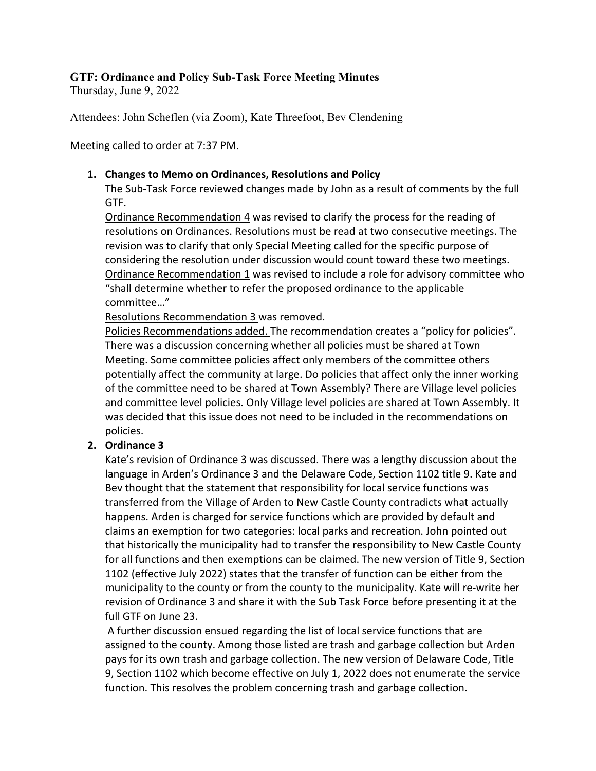# **GTF: Ordinance and Policy Sub-Task Force Meeting Minutes**

Thursday, June 9, 2022

Attendees: John Scheflen (via Zoom), Kate Threefoot, Bev Clendening

Meeting called to order at 7:37 PM.

### **1. Changes to Memo on Ordinances, Resolutions and Policy**

The Sub-Task Force reviewed changes made by John as a result of comments by the full GTF.

Ordinance Recommendation 4 was revised to clarify the process for the reading of resolutions on Ordinances. Resolutions must be read at two consecutive meetings. The revision was to clarify that only Special Meeting called for the specific purpose of considering the resolution under discussion would count toward these two meetings. Ordinance Recommendation 1 was revised to include a role for advisory committee who "shall determine whether to refer the proposed ordinance to the applicable committee…"

Resolutions Recommendation 3 was removed.

Policies Recommendations added. The recommendation creates a "policy for policies". There was a discussion concerning whether all policies must be shared at Town Meeting. Some committee policies affect only members of the committee others potentially affect the community at large. Do policies that affect only the inner working of the committee need to be shared at Town Assembly? There are Village level policies and committee level policies. Only Village level policies are shared at Town Assembly. It was decided that this issue does not need to be included in the recommendations on policies.

## **2. Ordinance 3**

Kate's revision of Ordinance 3 was discussed. There was a lengthy discussion about the language in Arden's Ordinance 3 and the Delaware Code, Section 1102 title 9. Kate and Bev thought that the statement that responsibility for local service functions was transferred from the Village of Arden to New Castle County contradicts what actually happens. Arden is charged for service functions which are provided by default and claims an exemption for two categories: local parks and recreation. John pointed out that historically the municipality had to transfer the responsibility to New Castle County for all functions and then exemptions can be claimed. The new version of Title 9, Section 1102 (effective July 2022) states that the transfer of function can be either from the municipality to the county or from the county to the municipality. Kate will re-write her revision of Ordinance 3 and share it with the Sub Task Force before presenting it at the full GTF on June 23.

A further discussion ensued regarding the list of local service functions that are assigned to the county. Among those listed are trash and garbage collection but Arden pays for its own trash and garbage collection. The new version of Delaware Code, Title 9, Section 1102 which become effective on July 1, 2022 does not enumerate the service function. This resolves the problem concerning trash and garbage collection.